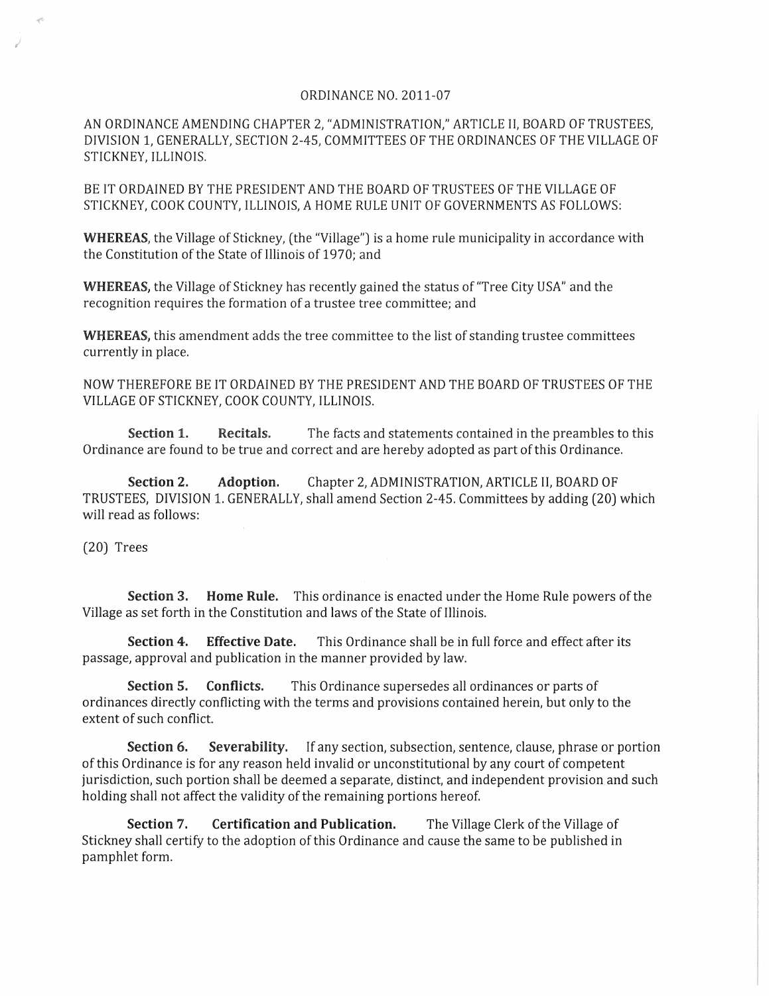## ORDINANCE NO. 2011-07

AN ORDINANCE AMENDING CHAPTER 2, "ADMINISTRATION," ARTICLE II, BOARD OF TRUSTEES, DIVISION 1, GENERALLY, SECTION 2-45, COMMITTEES OF THE ORDINANCES OF THE VILLAGE OF STICKNEY, ILLINOIS.

BE IT ORDAINED BY THE PRESIDENT AND THE BOARD OF TRUSTEES OF THE VILLAGE OF STICKNEY, COOK COUNTY, ILLINOIS, A HOME RULE UNIT OF GOVERNMENTS AS FOLLOWS:

**WHEREAS,** the Village of Stickney, (the "Village") is a home rule municipality in accordance with the Constitution of the State of Illinois of 1970; and

**WHEREAS,** the Village of Stickney has recently gained the status of "Tree City USA" and the recognition requires the formation of a trustee tree committee; and

**WllEREAS,** this amendment adds the tree committee to the list of standing trustee committees currently in place.

NOW THEREFORE BE IT ORDAINED BY THE PRESIDENT AND THE BOARD OF TRUSTEES OF THE VILLAGE OF STICKNEY, COOK COUNTY, ILLINOIS.

**Section 1. Recitals.** The facts and statements contained in the preambles to this Ordinance are found to be true and correct and are hereby adopted as part of this Ordinance.

**Section 2. Adoption.** Chapter 2, ADMINISTRATION, ARTICLE II, BOARD OF TRUSTEES, DIVISION 1. GENERALLY, shall amend Section 2-45. Committees by adding (20) which will read as follows:

(20) Trees

**Section 3. Home Rule.** This ordinance is enacted under the Home Rule powers of the Village as set forth in the Constitution and laws of the State of Illinois.

**Section 4. Effective Date.** This Ordinance shall be in full force and effect after its passage, approval and publication in the manner provided by law.

**Section 5. Conflicts.** This Ordinance supersedes all ordinances or parts of ordinances directly conflicting with the terms and provisions contained herein, but only to the extent of such conflict.

**Section 6. Severability.** If any section, subsection, sentence, clause, phrase or portion of this Ordinance is for any reason held invalid or unconstitutional by any court of competent jurisdiction, such portion shall be deemed a separate, distinct, and independent provision and such holding shall not affect the validity of the remaining portions hereof.

**Section 7. Certification and Publication.** The Village Clerk of the Village of Stickney shall certify to the adoption of this Ordinance and cause the same to be published in pamphlet form.